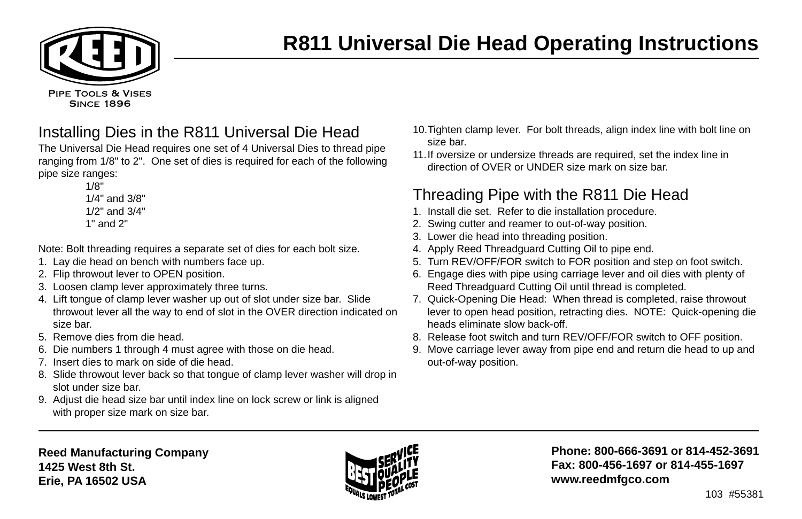

# **R811 Universal Die Head Operating Instructions**

Installing Dies in the R811 Universal Die Head

The Universal Die Head requires one set of 4 Universal Dies to thread pipe ranging from 1/8" to 2". One set of dies is required for each of the following pipe size ranges:

> 1/8" 1/4" and 3/8" 1/2" and 3/4" 1" and 2"

Note: Bolt threading requires a separate set of dies for each bolt size.

- 1. Lay die head on bench with numbers face up.
- 2. Flip throwout lever to OPEN position.
- 3. Loosen clamp lever approximately three turns.
- 4. Lift tongue of clamp lever washer up out of slot under size bar. Slide throwout lever all the way to end of slot in the OVER direction indicated on size bar.
- 5. Remove dies from die head.
- 6. Die numbers 1 through 4 must agree with those on die head.
- 7. Insert dies to mark on side of die head.
- 8. Slide throwout lever back so that tongue of clamp lever washer will drop in slot under size bar.
- 9. Adjust die head size bar until index line on lock screw or link is aligned with proper size mark on size bar.
- 10.Tighten clamp lever. For bolt threads, align index line with bolt line on size bar.
- 11.If oversize or undersize threads are required, set the index line in direction of OVER or UNDER size mark on size bar.

### Threading Pipe with the R811 Die Head

- 1. Install die set. Refer to die installation procedure.
- 2. Swing cutter and reamer to out-of-way position.
- 3. Lower die head into threading position.
- 4. Apply Reed Threadguard Cutting Oil to pipe end.
- 5. Turn REV/OFF/FOR switch to FOR position and step on foot switch.
- 6. Engage dies with pipe using carriage lever and oil dies with plenty of Reed Threadguard Cutting Oil until thread is completed.
- 7. Quick-Opening Die Head: When thread is completed, raise throwout lever to open head position, retracting dies. NOTE: Quick-opening die heads eliminate slow back-off.
- 8. Release foot switch and turn REV/OFF/FOR switch to OFF position.
- 9. Move carriage lever away from pipe end and return die head to up and out-of-way position.



**Phone: 800-666-3691 or 814-452-3691 Fax: 800-456-1697 or 814-455-1697 www.reedmfgco.com**